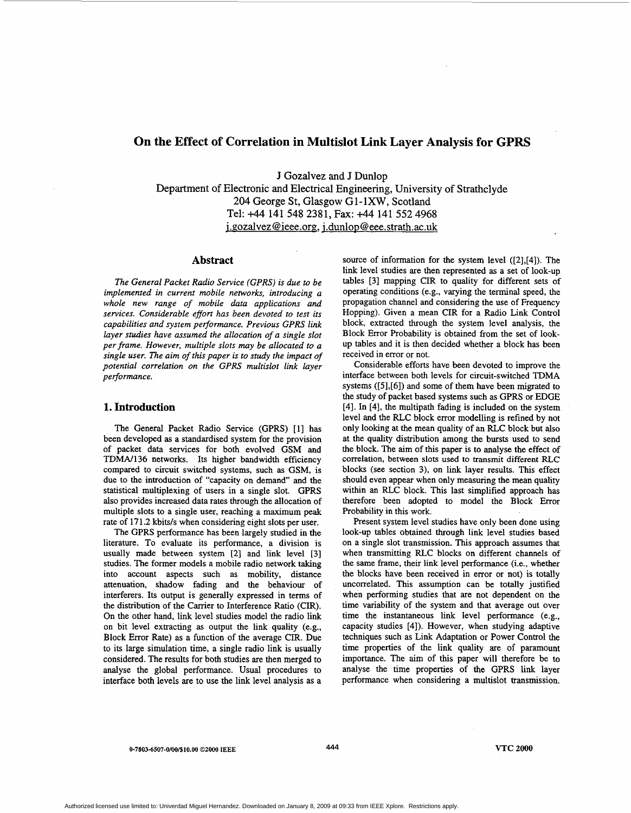# **On the Effect of Correlation in Multislot Link Layer Analysis for GPRS**

**J Gozalvez and J Dunlop Department of Electronic and Electrical Engineering, University of Strathclyde**  *204* **George St, Glasgow G1-lXW, Scotland Tel:** +44 **141 548 2381, Fax:** +44 **141 552 4968**  j **xozalvez** @ **[ieee.org,](http://ieee.org)** i **.dunlo[p @eee.strath.ac.uk](mailto:eee.strath.ac.uk)** 

#### **Abstract**

*The General Packet Radio Service (GPRS) is due to be implemented in current mobile networks, introducing a whole new range of mobile data applications and services. Considerable effort has been devoted to test its capabilities and system performance. Previous GPRS link layer studies have assumed the allocation of a single slot*  per frame. However, multiple slots may be allocated to a *single user. The aim of this paper is to study the impact of potential correlation on the GPRS multislot link layer performance.* 

# **1. Introduction**

The General Packet Radio Service (GPRS) **[l]** has been developed **as** a standardised system for the provision of packet data services for both evolved GSM and TDMN136 networks. Its higher bandwidth efficiency compared to circuit switched systems, such **as** GSM, is due to the introduction of "capacity on demand" and the statistical multiplexing of users in a single slot. GPRS also provides increased data rates through the allocation of multiple slots to a single user, reaching a maximum peak rate of 171.2 kbits/s when considering eight slots per user.

The GPRS performance has been largely studied in the literature. To evaluate its performance, a division is usually made between system **[2]** and link level **[3]**  studies. The former models a mobile radio network taking into account aspects such as mobility, distance attenuation, shadow fading and the behaviour of interferers. Its output is generally expressed in terms of the distribution of the Carrier to Interference Ratio (CIR). On the other hand, link level studies model the radio link on bit level extracting **as** output the link quality (e.g., Block Error Rate) as a function of the average CIR. Due to its large simulation time, a single radio link is usually considered. The results for both studies are then merged to analyse the global performance. Usual procedures to interface both levels are to use the link level analysis **as** a

source of information for the system level **([2],[4]).** The link level studies are then represented **as** a set of look-up tables **[3]** mapping CIR to quality for different sets of operating conditions (e.g., varying the terminal speed, the propagation channel and considering the use of Frequency Hopping). Given a mean CIR for a Radio Link Control block, extracted through the system level analysis, the Block Error Probability is obtained from the set of lookup tables and it is then decided whether a block has been received in error or not.

Considerable efforts have been devoted to improve the interface between both levels for circuit-switched TDMA systems **([5],[6])** and some of them have been migrated to the study of packet based systems such **as** GPRS or EDGE **[4].** In **[4],** the multipath fading is included on the system level and the RLC block error modelling is refined by not only looking at the mean quality of an RLC block but also at the quality distribution among the bursts used to send the block. The aim of this paper is to analyse the effect of correlation, between **slots** used to transmit different RLC blocks (see section **3),** on link layer results. This effect should even appear when only measuring the mean quality within an RLC block. This last simplified approach has therefore been adopted to model the Block Error Probability in this work.

Present system level studies have only been done using look-up tables obtained through link level studies based on a single slot transmission. This approach assumes that when transmitting RLC blocks on different channels of the same frame, their link level performance (i.e., whether the blocks have been received in error or not) **is** totally uncorrelated. This assumption can be totally justified when performing studies that are not dependent on the time variability of the system and that average out over time the instantaneous link level performance (e.g., capacity studies **[4]).** However, when studying adaptive techniques such as Link Adaptation or Power Control the time properties of the link quality are of paramount importance. The aim of this paper will therefore be to analyse the time properties of the GPRS link layer performance when considering a multislot transmission.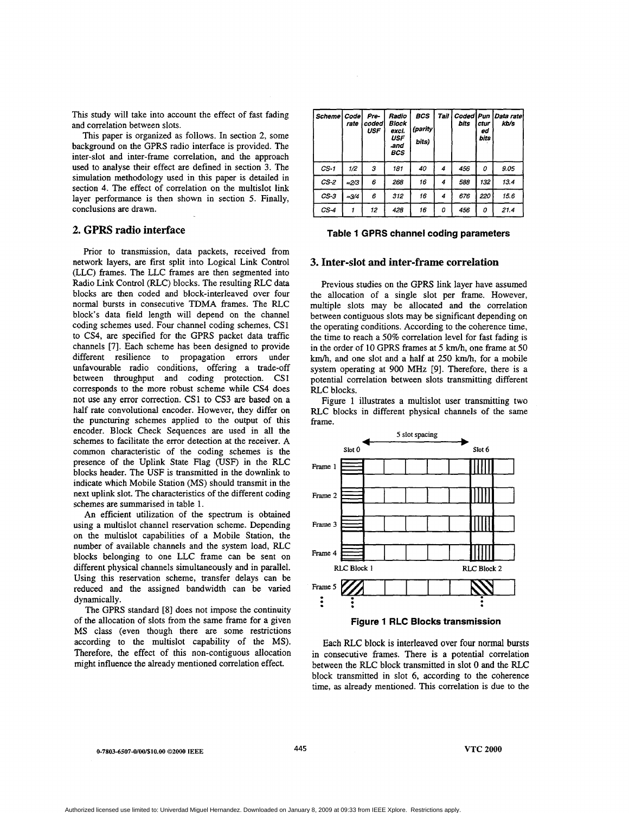<span id="page-1-0"></span>This study will take into account the effect of fast fading and correlation between slots.

This paper is organized **as** follows. In section 2, some background on the GPRS radio interface is provided. The inter-slot and inter-frame correlation, and the approach used to analyse their effect are defined in section **3.** The simulation methodology used in this paper is detailed in section 4. The effect of correlation on the multislot link layer performance is then shown in section 5. Finally, conclusions are drawn.

# **2. GPRS radio interface**

Prior to transmission, data packets, received from network layers, are first split into Logical Link Control (LLC) frames. The LLC frames are then segmented into Radio Link Control (RLC) blocks. The resulting RLC data blocks are then coded and block-interleaved over four normal bursts in consecutive TDMA frames. The RLC block's data field length will depend on the channel coding schemes used. Four channel coding schemes, CSl to CS4, are specified for the GPRS packet data traffic channels [7]. Each scheme has been designed to provide different resilience to propagation errors under unfavourable radio conditions, offering a trade-off between throughput and coding protection. CS1 corresponds to the more robust scheme while CS4 does not use any error correction. CS1 to **CS3** are based on a half rate convolutional encoder. However, they differ on the puncturing schemes applied to the output of this encoder. Block Check Sequences are used in all the schemes to facilitate the error detection at the receiver. **A**  common characteristic of the coding schemes is the presence of the Uplink State Flag (USF) in the RLC blocks header. The USF is transmitted in the downlink to indicate which Mobile Station (MS) should transmit in the next uplink slot. The characteristics of the different coding schemes are summarised in table 1.

An efficient utilization of the spectrum is obtained using a multislot channel reservation scheme. Depending on the multislot capabilities of a Mobile Station, the number of available channels and the system load, RLC blocks belonging to one LLC frame can be sent on different physical channels simultaneously and in parallel. Using this reservation scheme, transfer delays can be reduced and the assigned bandwidth can be varied dynamically.

The GPRS standard [8] does not impose the continuity of the allocation of slots from the same frame for a given MS class (even though there are some restrictions according to the multislot capability of the MS). Therefore, the effect of this non-contiguous allocation might influence the already mentioned correlation effect.

|                     | ×            |                             |                                                            |                                 |      |                      |                           |                   |
|---------------------|--------------|-----------------------------|------------------------------------------------------------|---------------------------------|------|----------------------|---------------------------|-------------------|
| Scheme <sup> </sup> | Code<br>rate | Pre-<br>coded<br><b>USF</b> | Radio<br>Block<br>exci.<br><b>USF</b><br>and<br><b>BCS</b> | <b>BCS</b><br>(parity)<br>bits) | Tail | <b>Coded</b><br>bits | Pun<br>ctur<br>ed<br>bits | Data rate<br>kb/s |
| $CS-1$              | 1/2          | з                           | 181                                                        | 40                              | 4    | 456                  | 0                         | 9.05              |
| $CS-2$              | $\simeq$ 2/3 | 6                           | 268                                                        | 16                              | 4    | 588                  | 132                       | 13.4              |
| $CS-3$              | $=3/4$       | 6                           | 312                                                        | 16                              | 4    | 676                  | 220                       | 15.6              |
| $CS-4$              | 1            | 12                          | 428                                                        | 16                              | 0    | 456                  | 0                         | 21.4              |

#### **Table 1 GPRS channel coding parameters**

#### **3. Inter-slot and inter-frame correlation**

Previous studies on the GPRS link layer have assumed the allocation of a single slot per frame. However, multiple slots may be allocated and the correlation between contiguous slots may be significant depending on the operating conditions. According to the coherence time, the time to reach a 50% correlation level for fast fading is in the order of 10 GPRS frames at *5* km/h, one frame at 50 km/h, and one slot and a half at 250 km/h, for a mobile system operating at 900 MHz [9]. Therefore, there is a potential correlation between slots transmitting different RLC blocks.

Figure 1 illustrates a multislot user transmitting two RLC blocks in different physical channels of the same frame.



#### **Figure 1 RLC Blocks transmission**

Each RLC block is interleaved over four **normal bursts**  in consecutive frames. There is a potential correlation between the RLC block transmitted in slot 0 and the RLC block transmitted in slot *6,* according to the coherence time, **as** already mentioned. This correlation is due to the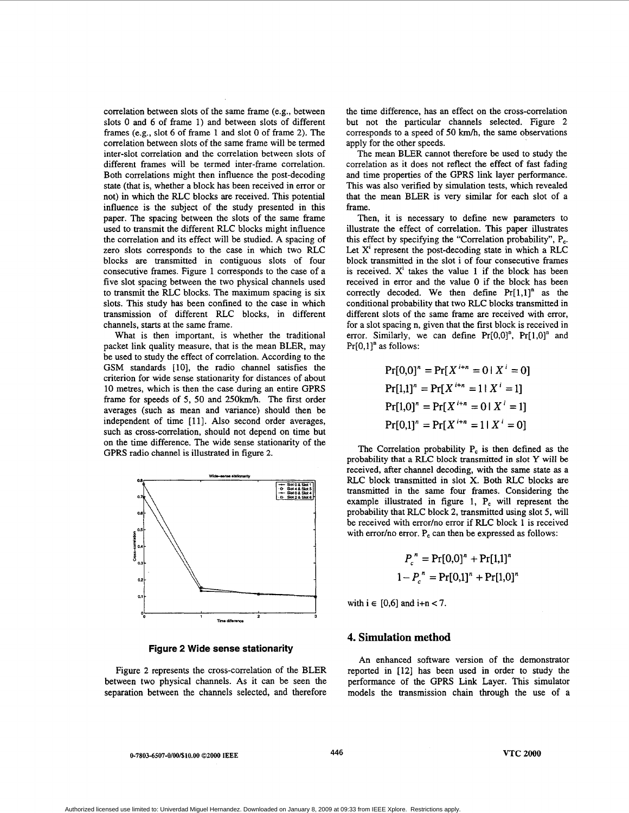correlation between slots of the same frame (e.g., between slots 0 and *6* of frame 1) and between slots of different frames (e.g., slot *6* of frame 1 and slot 0 of frame 2). The correlation between slots of the same frame will be termed inter-slot correlation and the correlation between slots of different frames will be termed inter-frame correlation. Both correlations might then influence the post-decoding state (that is, whether a block has been received in error or not) in which the RLC blocks are received. This potential influence is. the subject of the study presented in this paper. The spacing between the slots of the same frame used to transmit the different RLC blocks might influence the correlation and its effect will be studied. A spacing of zero slots corresponds to the case in which two RLC blocks are transmitted in contiguous slots of four consecutive frames. [Figure 1](#page-1-0) corresponds to the case of a five slot spacing between the two physical channels used to transmit the RLC blocks. The maximum spacing is six slots. This study has been confined to the case in which transmission of different RLC blocks, in different channels, **starts** at the same frame.

What is then important, is whether the traditional packet link quality measure, that is the mean BLER, may be used to study the effect of correlation. According to the GSM standards [10], the radio channel satisfies the criterion for wide sense stationarity for distances of about 10 metres, which is then the case during an entire GPRS frame for speeds of **5, 50** and **250km/h.** The first order averages (such **as** mean and variance) should then be independent of time [11]. Also second order averages, such **as** cross-correlation, should not depend on time but on the time difference. The wide sense stationarity of the GPRS radio channel is illustrated in figure 2.



**Figure 2 Wide sense stationarity** 

Figure 2 represents the cross-correlation of the BLER between two physical channels. As it can be seen the separation between the channels selected, and therefore the time difference, has an effect on the cross-correlation but not the particular channels selected. Figure **2**  corresponds to a speed of **50** km/h, the same observations apply for the other speeds.

The mean BLER cannot therefore be used to study the correlation **as** it does not reflect the effect of fast fading and time properties of the GPRS link layer performance. This was also verified by simulation tests, which revealed that the mean BLER is very similar for each slot of a frame.

Then, it is necessary to define new parameters to illustrate the effect of correlation. This paper illustrates this effect by specifying the "Correlation probability",  $P_c$ . Let  $X<sup>i</sup>$  represent the post-decoding state in which a RLC block transmitted in the slot i of four consecutive frames is received. X' takes the value **1** if the block has been received in error and the value 0 if the block has been correctly decoded. We then define  $Pr[1,1]$ <sup>n</sup> as the conditional probability that two RLC blocks transmitted in different slots of the same frame are received with error, for a slot spacing n, given that the first block is received in error. Similarly, we can define  $Pr[0,0]^n$ ,  $Pr[1,0]^n$  and  $Pr[0,1]$ <sup>n</sup> as follows:

$$
Pr[0,0]^n = Pr[X^{i+n} = 0 | X^i = 0]
$$
  
\n
$$
Pr[1,1]^n = Pr[X^{i+n} = 1 | X^i = 1]
$$
  
\n
$$
Pr[1,0]^n = Pr[X^{i+n} = 0 | X^i = 1]
$$
  
\n
$$
Pr[0,1]^n = Pr[X^{i+n} = 1 | X^i = 0]
$$

The Correlation probability P, is then defined **as** the probability that a **RLC** block transmitted in slot *Y* **will** be received, after channel decoding, with the same state **as** a RLC block transmitted in slot **X.** Both RLC blocks are transmitted in the same four frames. Considering the example illustrated in figure 1,  $P_c$  will represent the probability that RLC block **2,** transmitted using slot **5,** will be received with error/no error if RLC block 1 is received with error/no error. P<sub>c</sub> can then be expressed as follows:

$$
P_c^{n} = \Pr[0,0]^n + \Pr[1,1]^n
$$
  

$$
1 - P_c^{n} = \Pr[0,1]^n + \Pr[1,0]^n
$$

with  $i \in [0,6]$  and  $i+n < 7$ .

### **4. Simulation method**

An enhanced software version of the demonstrator reported in [12] has been used in order to study the performance of the GPRS Link Layer. This simulator models the transmission chain through the use of a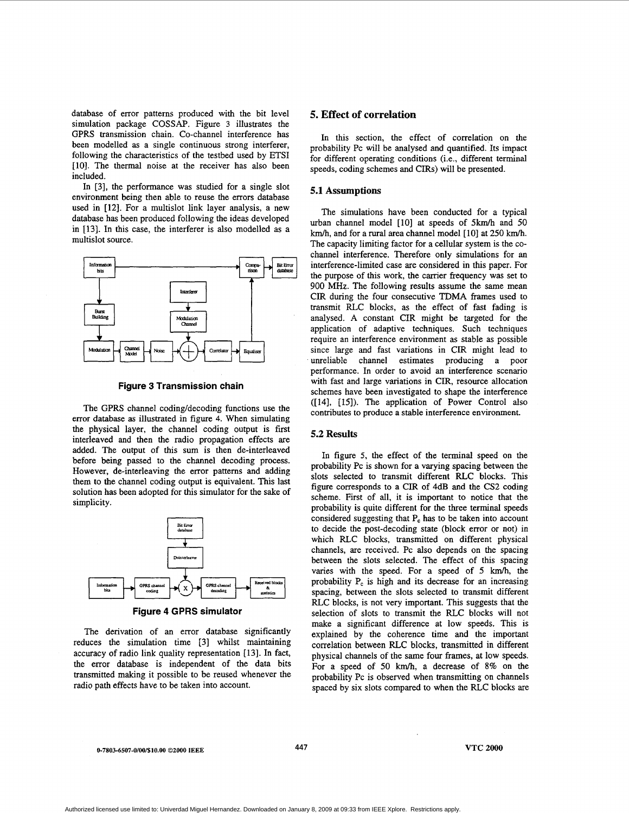database of error patterns produced with the bit level simulation package COSSAP. Figure **3** illustrates the GPRS transmission chain. CO-channel interference has been modelled as a single continuous strong interferer, following the characteristics of the testbed used by ETSI [10]. The thermal noise at the receiver has also been included.

In [3], the performance was studied for a single slot environment being then able to reuse the errors database **used** in [12]. For a multislot link layer analysis, a new database has been produced following the ideas developed in **[13].** In this case, the interferer is also modelled as a multislot source.



**Figure 3 Transmission chain** 

The GPRS channel coding/decoding functions use the error database **as** illustrated in figure **4.** When simulating the physical layer, the channel coding output is first interleaved and then the radio propagation effects are added. The output of this sum is then de-interleaved before being passed to the channel decoding process. However, de-interleaving the error patterns and adding them to the channel coding output is equivalent. This last solution has been adopted for this simulator for the sake of simplicity.



**Figure 4 GPRS simulator** 

The derivation of an error database significantly reduces the simulation time [3] whilst maintaining accuracy of radio link quality representation [13]. In fact, the error database is independent of the data bits transmitted making it possible to be reused whenever the radio path effects have to be taken into account.

# **5. Effect of correlation**

In this section, the effect of correlation on the probability Pc will be analysed and quantified. Its impact for different operating conditions (i.e,, different terminal speeds, coding schemes and CIRs) will be presented.

#### **5.1 Assumptions**

The simulations have been conducted for a typical urban channel model [10] at speeds of 5km/h and 50 km/h, and for a rural area channel model [IO] at 250 km/h. The capacity limiting factor for a cellular system is the cochannel interference. Therefore only simulations for an interference-limited case are considered in this paper. For the purpose of this work, the carrier frequency was set to 900 MHz. The following results assume the same mean CIR during the four consecutive **TDMA** frames used to transmit RLC blocks, as the effect of fast fading is analysed. **A** constant CIR might be targeted for the application of adaptive techniques. Such techniques require an interference environment as stable **as** possible since large and fast variations in CIR might lead to unreliable channel estimates producing a poor performance. In order to avoid an interference scenario with fast and large variations in CIR, resource allocation schemes have been investigated to shape the interference ([14], [15]). The application of Power Control also contributes to produce a stable interference environment.

# *5.2* **Results**

In figure 5, the effect of the terminal speed on the probability Pc is shown for a varying spacing between the slots selected to transmit different **RLC** blocks. This figure corresponds to a CIR of 4dB and the CS2 coding scheme. First of all, it is important to notice that the probability is quite different for the three terminal speeds considered suggesting that P, has to be taken into account to decide the post-decoding state (block error or not) in which RLC blocks, transmitted on different physical channels, are received. Pc also depends on the spacing between the slots selected. The effect of this spacing varies with the speed. For a speed of 5 km/h, the probability  $P_c$  is high and its decrease for an increasing spacing, between the slots selected to transmit different RLC blocks, is not very important. This suggests that the selection of slots to transmit the RLC blocks will not make a significant difference at low speeds. This is explained by the coherence time and the important correlation between RLC blocks, transmitted in different physical channels of the same four frames, at low speeds. For a speed of 50 km/h, a decrease of 8% on the probability Pc is observed when transmitting on channels spaced by six slots compared to when the RLC blocks are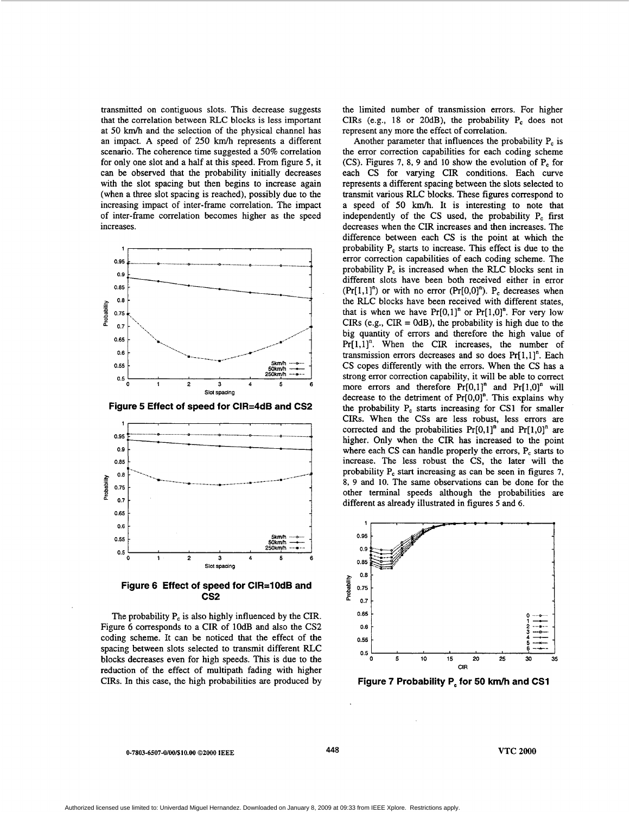transmitted on contiguous slots. This decrease suggests that the correlation between RLC blocks is less important at 50 km/h and the selection of the physical channel has an impact. **A** speed of 250 km/h represents a different scenario. The coherence time suggested a 50% correlation for only one slot and a half at this speed. From figure *5,* it can be observed that the probability initially decreases with the slot spacing but then begins to increase again (when a three slot spacing is reached), possibly due to the increasing impact of inter-frame correlation. The impact of inter-frame correlation becomes higher as the speed increases.



**Figure 5 Effect of speed for CIR=4dB and CS2** 



**Figure 6 Effect of speed for CIR=lOdB and cs2** 

The probability  $P_c$  is also highly influenced by the CIR. Figure *6* corresponds to a CIR of lOdB and also the CS2 coding scheme. It can be noticed that the effect of the spacing between slots selected *to* transmit different RLC blocks decreases even for high speeds. This is due to the reduction of the effect of multipath fading with higher CIRs. In this case, the high probabilities are produced by the limited number of transmission errors. For higher CIRs (e.g., 18 or 20dB), the probability  $P_c$  does not represent any more the effect of correlation.

Another parameter that influences the probability P, is the error correction capabilities for each coding scheme (CS). Figures **7,** 8, 9 and **10** show the evolution of P, for each CS for varying CIR conditions. Each curve represents a different spacing between the slots selected to transmit various RLC blocks. These figures correspond to a speed of 50 km/h. It is interesting to note that independently of the CS used, the probability P, first decreases when the CIR increases and then increases. The difference between each CS is the point at which the probability P<sub>c</sub> starts to increase. This effect is due to the error correction capabilities of each coding scheme. The probability  $P_c$  is increased when the RLC blocks sent in different slots have been both received either in error  $(Pr[1,1]^n)$  or with no error  $(Pr[0,0]^n)$ . P<sub>c</sub> decreases when the RLC blocks have been received with different states, that is when we have  $Pr[0,1]$ <sup>n</sup> or  $Pr[1,0]$ <sup>n</sup>. For very low CIRs (e.g.,  $CIR = OdB$ ), the probability is high due to the big quantity of errors and therefore the high value of  $Pr[1,1]$ <sup>n</sup>. When the CIR increases, the number of transmission errors decreases and so does  $Pr[1,1]$ <sup>n</sup>. Each CS copes differently with the errors. When the CS has a strong error correction capability, it will be able to correct more errors and therefore  $Pr[0,1]$ <sup>n</sup> and  $Pr[1,0]$ <sup>n</sup> will decrease to the detriment of  $Pr[0,0]^n$ . This explains why the probability P, starts increasing for **CSl** for smaller CIRs. When the CSs are less robust, less errors are corrected and the probabilities  $Pr[0,1]$ <sup>n</sup> and  $Pr[1,0]$ <sup>n</sup> are higher. Only when the CIR has increased to the point where each CS can handle properly the errors, P<sub>c</sub> starts to increase. The less robust the CS, the later will the probability P<sub>c</sub> start increasing as can be seen in figures 7, 8, 9 and **10.** The same observations can be done for the other terminal speeds although the probabilities are different as already illustrated in figures 5 and 6.



**Figure 7 Probability P, for 50 kmh and CSl** 

**0-7803-6507-0/00/%10.00 02000 IEEE 448 VTC 2000**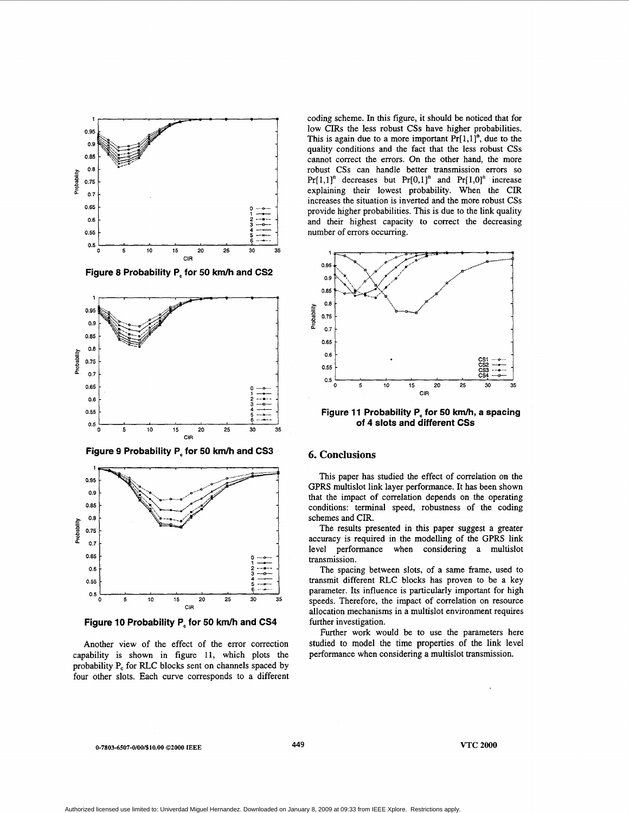



**Figure 9 Probability P, for** *50* **km/h and CS3** 



**Figure 10 Probability P, for 50 km/h and CS4** 

Another view of the effect of the error correction capability is shown in figure 11, which plots the probability P<sub>c</sub> for RLC blocks sent on channels spaced by four other slots. Each curve corresponds to a different

coding scheme. In this figure, it should be noticed that for low CIRs the less robust *CSs* have higher probabilities. This is again due to a more important  $Pr[1,1]$ <sup>n</sup>, due to the quality conditions and the fact that the less robust CSs cannot correct the errors. On the other hand, the more robust CSs can handle better transmission errors so  $Pr[1,1]$ <sup>n</sup> decreases but  $Pr[0,1]$ <sup>n</sup> and  $Pr[1,0]$ <sup>n</sup> increase explaining their lowest probability. When the CIR increases the situation is inverted and the more robust CSs provide higher probabilities. This is due to the link quality and their highest capacity to correct the decreasing number of errors occurring.



**Figure 11 Probability P, for 50 km/h, a spacing of 4 slots and different CSs** 

#### *6.* **Conclusions**

This paper has studied the effect of correlation on the GPRS multislot link layer performance. It has been shown that the impact of correlation depends on the operating conditions: terminal speed, robustness of the coding schemes and CIR.

The results presented in this paper suggest a greater accuracy is required in the modelling of the GPRS link level performance when considering a multislot transmission.

The spacing between slots, of a same frame, used to transmit different RLC blocks has proven to be a key parameter. Its influence is particularly important for high speeds. Therefore, the impact of correlation on resource allocation mechanisms in a multislot environment requires further investigation.

Further work would be to use the parameters here studied to model the time properties of the link level performance when considering a multislot transmission.